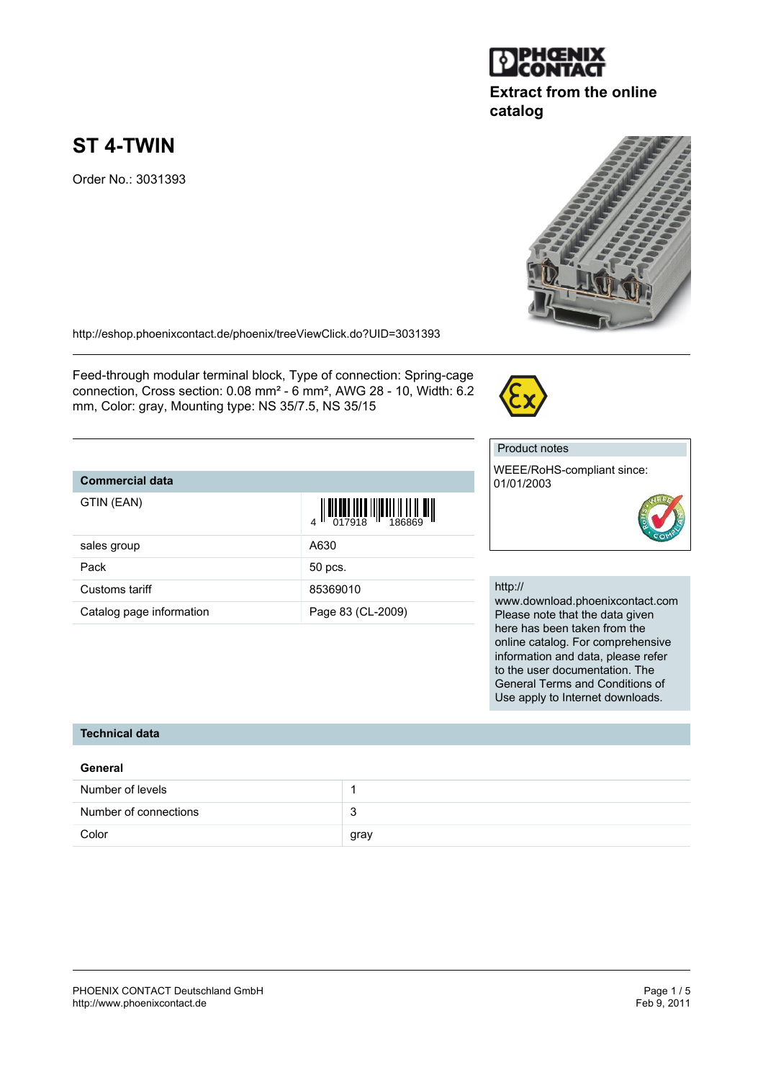

# **Extract from the online catalog**



Order No.: 3031393

<http://eshop.phoenixcontact.de/phoenix/treeViewClick.do?UID=3031393>

Feed-through modular terminal block, Type of connection: Spring-cage connection, Cross section: 0.08 mm² - 6 mm², AWG 28 - 10, Width: 6.2 mm, Color: gray, Mounting type: NS 35/7.5, NS 35/15

# **Commercial data**

GTIN (EAN)

|                          | $\begin{array}{c} 4 \overline{11} \overline{11} \overline{11} \overline{11} \overline{11} \overline{11} \overline{11} \overline{11} \overline{11} \overline{11} \overline{11} \overline{11} \overline{11} \overline{11} \overline{11} \overline{11} \overline{11} \end{array}$ |
|--------------------------|--------------------------------------------------------------------------------------------------------------------------------------------------------------------------------------------------------------------------------------------------------------------------------|
| sales group              | A630                                                                                                                                                                                                                                                                           |
| Pack                     | 50 pcs.                                                                                                                                                                                                                                                                        |
| Customs tariff           | 85369010                                                                                                                                                                                                                                                                       |
| Catalog page information | Page 83 (CL-2009)                                                                                                                                                                                                                                                              |

#### Product notes

WEEE/RoHS-compliant since: 01/01/2003



#### http://

www.download.phoenixcontact.com Please note that the data given here has been taken from the online catalog. For comprehensive information and data, please refer to the user documentation. The General Terms and Conditions of Use apply to Internet downloads.

### **Technical data**

| General               |      |
|-----------------------|------|
| Number of levels      |      |
| Number of connections | 3    |
| Color                 | gray |

<u> III OINEN IN ET LIITENT IL IT IL ILI</u>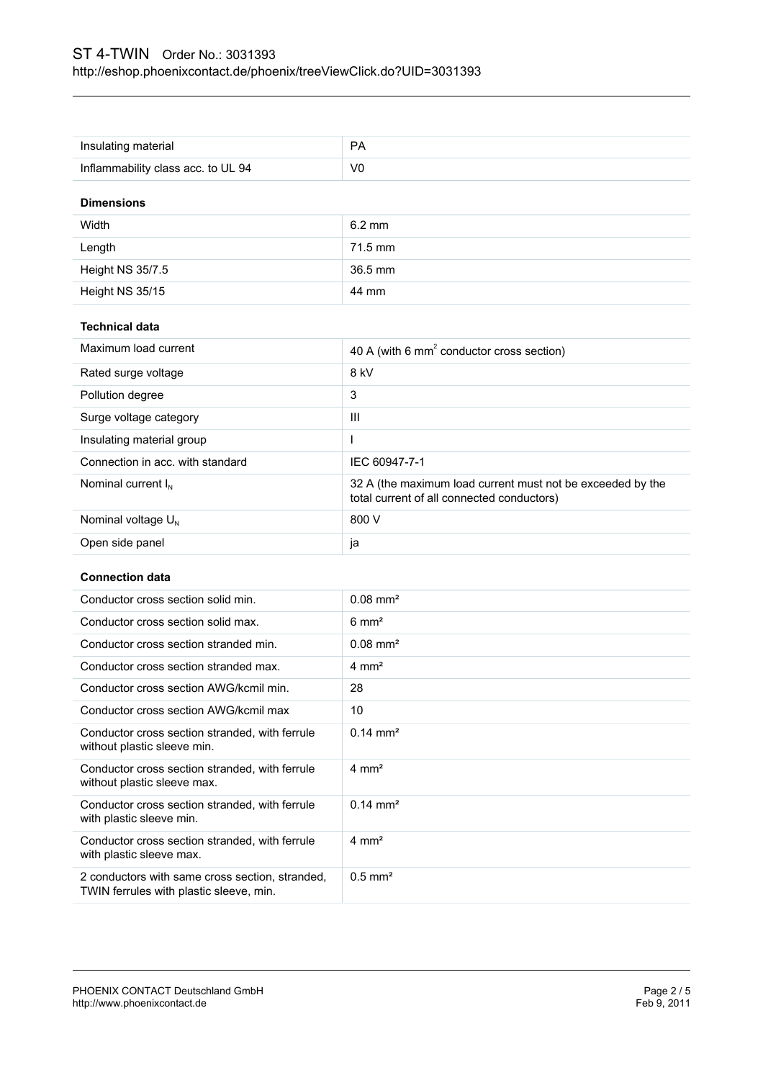| <b>Dimensions</b>                  |           |
|------------------------------------|-----------|
| Inflammability class acc. to UL 94 | V0        |
| Insulating material                | <b>PA</b> |

| Width            | $6.2 \text{ mm}$ |
|------------------|------------------|
| Length           | 71.5 mm          |
| Height NS 35/7.5 | 36.5 mm          |
| Height NS 35/15  | 44 mm            |

### **Technical data**

| Maximum load current             | 40 A (with 6 $mm2$ conductor cross section)                                                              |
|----------------------------------|----------------------------------------------------------------------------------------------------------|
| Rated surge voltage              | 8 kV                                                                                                     |
| Pollution degree                 | 3                                                                                                        |
| Surge voltage category           | Ш                                                                                                        |
| Insulating material group        |                                                                                                          |
| Connection in acc. with standard | IEC 60947-7-1                                                                                            |
| Nominal current $I_{N}$          | 32 A (the maximum load current must not be exceeded by the<br>total current of all connected conductors) |
| Nominal voltage $U_{N}$          | 800 V                                                                                                    |
| Open side panel                  | Ja                                                                                                       |

### **Connection data**

| Conductor cross section solid min.                                                         | $0.08 \text{ mm}^2$   |
|--------------------------------------------------------------------------------------------|-----------------------|
| Conductor cross section solid max.                                                         | $6 \text{ mm}^2$      |
| Conductor cross section stranded min.                                                      | $0.08 \text{ mm}^2$   |
| Conductor cross section stranded max.                                                      | $4 \text{ mm}^2$      |
| Conductor cross section AWG/kcmil min.                                                     | 28                    |
| Conductor cross section AWG/kcmil max                                                      | 10                    |
| Conductor cross section stranded, with ferrule<br>without plastic sleeve min.              | $0.14 \text{ mm}^2$   |
| Conductor cross section stranded, with ferrule<br>without plastic sleeve max.              | $4 \text{ mm}^2$      |
| Conductor cross section stranded, with ferrule<br>with plastic sleeve min.                 | $0.14 \text{ mm}^2$   |
| Conductor cross section stranded, with ferrule<br>with plastic sleeve max.                 | $4 \text{ mm}^2$      |
| 2 conductors with same cross section, stranded,<br>TWIN ferrules with plastic sleeve, min. | $0.5$ mm <sup>2</sup> |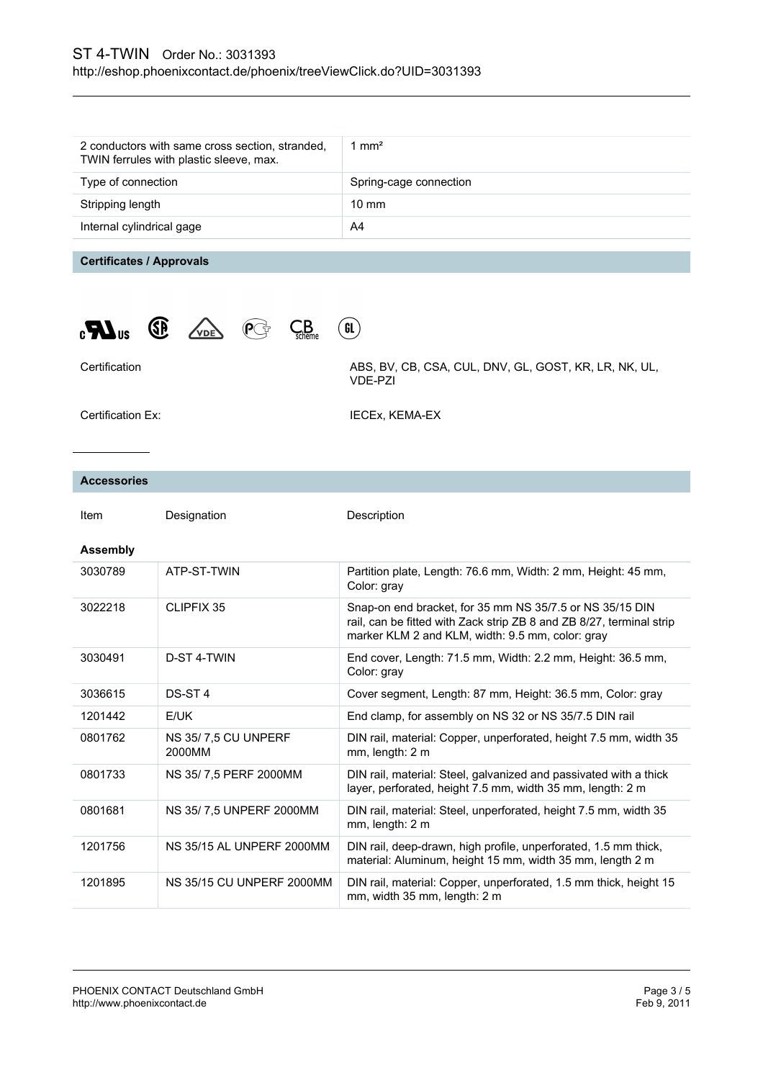| 2 conductors with same cross section, stranded,<br>TWIN ferrules with plastic sleeve, max. | 1 mm <sup>2</sup>      |
|--------------------------------------------------------------------------------------------|------------------------|
| Type of connection                                                                         | Spring-cage connection |
| Stripping length                                                                           | $10 \text{ mm}$        |
| Internal cylindrical gage                                                                  | A4                     |
|                                                                                            |                        |

 $\binom{6}{ }$ 

# **Certificates / Approvals**





Certification Certification ABS, BV, CB, CSA, CUL, DNV, GL, GOST, KR, LR, NK, UL, VDE-PZI

Certification Ex: **IECEX, KEMA-EX** 

#### **Accessories**

| Item            | Designation                   | Description                                                                                                                                                                          |
|-----------------|-------------------------------|--------------------------------------------------------------------------------------------------------------------------------------------------------------------------------------|
| <b>Assembly</b> |                               |                                                                                                                                                                                      |
| 3030789         | ATP-ST-TWIN                   | Partition plate, Length: 76.6 mm, Width: 2 mm, Height: 45 mm,<br>Color: gray                                                                                                         |
| 3022218         | CLIPFIX 35                    | Snap-on end bracket, for 35 mm NS 35/7.5 or NS 35/15 DIN<br>rail, can be fitted with Zack strip ZB 8 and ZB 8/27, terminal strip<br>marker KLM 2 and KLM, width: 9.5 mm, color: gray |
| 3030491         | D-ST 4-TWIN                   | End cover, Length: 71.5 mm, Width: 2.2 mm, Height: 36.5 mm,<br>Color: gray                                                                                                           |
| 3036615         | DS-ST <sub>4</sub>            | Cover segment, Length: 87 mm, Height: 36.5 mm, Color: gray                                                                                                                           |
| 1201442         | E/UK                          | End clamp, for assembly on NS 32 or NS 35/7.5 DIN rail                                                                                                                               |
| 0801762         | NS 35/7.5 CU UNPERF<br>2000MM | DIN rail, material: Copper, unperforated, height 7.5 mm, width 35<br>mm, length: 2 m                                                                                                 |
| 0801733         | NS 35/7.5 PERF 2000MM         | DIN rail, material: Steel, galvanized and passivated with a thick<br>layer, perforated, height 7.5 mm, width 35 mm, length: 2 m                                                      |
| 0801681         | NS 35/7,5 UNPERF 2000MM       | DIN rail, material: Steel, unperforated, height 7.5 mm, width 35<br>mm, length: 2 m                                                                                                  |
| 1201756         | NS 35/15 AL UNPERF 2000MM     | DIN rail, deep-drawn, high profile, unperforated, 1.5 mm thick,<br>material: Aluminum, height 15 mm, width 35 mm, length 2 m                                                         |
| 1201895         | NS 35/15 CU UNPERF 2000MM     | DIN rail, material: Copper, unperforated, 1.5 mm thick, height 15<br>mm, width 35 mm, length: 2 m                                                                                    |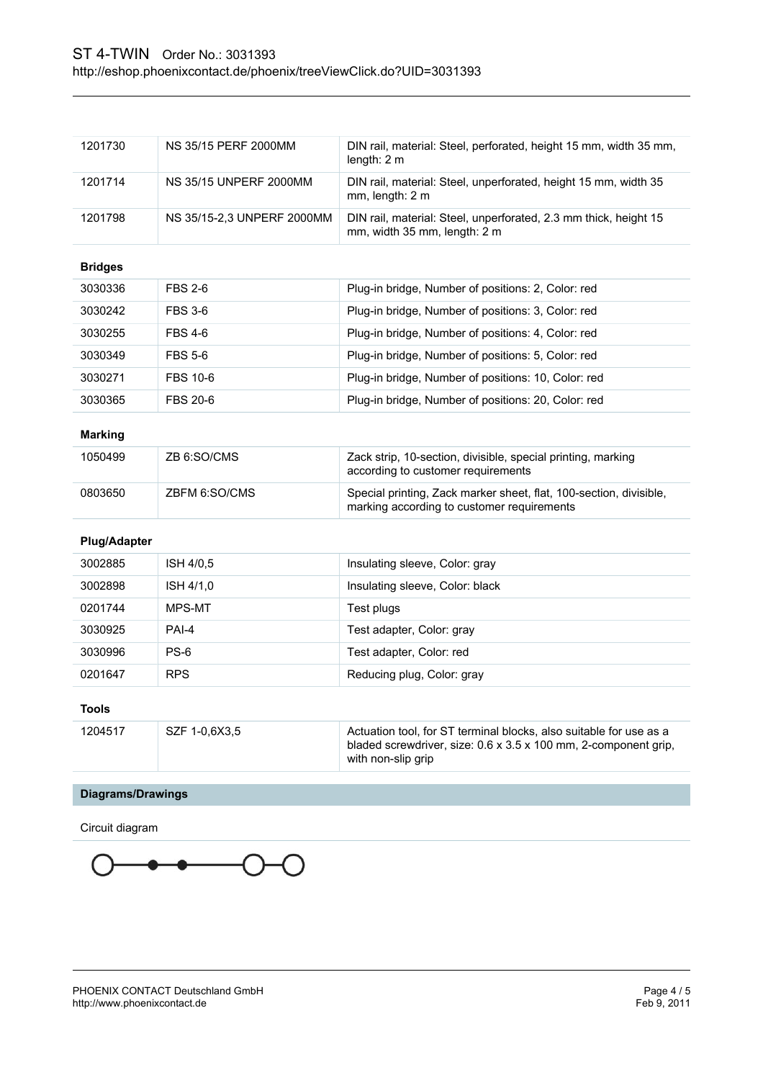| <b>Diagrams/Drawings</b> |                               |                                                                                                                                                             |
|--------------------------|-------------------------------|-------------------------------------------------------------------------------------------------------------------------------------------------------------|
| 1204517                  | SZF 1-0,6X3,5                 | Actuation tool, for ST terminal blocks, also suitable for use as a<br>bladed screwdriver, size: 0.6 x 3.5 x 100 mm, 2-component grip,<br>with non-slip grip |
| <b>Tools</b>             |                               |                                                                                                                                                             |
| 0201647                  | <b>RPS</b>                    | Reducing plug, Color: gray                                                                                                                                  |
| 3030996                  | $PS-6$                        | Test adapter, Color: red                                                                                                                                    |
| 3030925                  | PAI-4                         | Test adapter, Color: gray                                                                                                                                   |
| 0201744                  | MPS-MT                        | Test plugs                                                                                                                                                  |
| 3002898                  | ISH 4/1,0                     | Insulating sleeve, Color: black                                                                                                                             |
| 3002885                  | ISH 4/0,5                     | Insulating sleeve, Color: gray                                                                                                                              |
| <b>Plug/Adapter</b>      |                               |                                                                                                                                                             |
| 0803650                  | ZBFM 6:SO/CMS                 | Special printing, Zack marker sheet, flat, 100-section, divisible,<br>marking according to customer requirements                                            |
| 1050499                  | ZB 6:SO/CMS                   | Zack strip, 10-section, divisible, special printing, marking<br>according to customer requirements                                                          |
| <b>Marking</b>           |                               |                                                                                                                                                             |
| 3030365                  | <b>FBS 20-6</b>               | Plug-in bridge, Number of positions: 20, Color: red                                                                                                         |
|                          |                               | Plug-in bridge, Number of positions: 10, Color: red                                                                                                         |
| 3030349<br>3030271       | <b>FBS 5-6</b><br>FBS 10-6    | Plug-in bridge, Number of positions: 5, Color: red                                                                                                          |
| 3030255                  | <b>FBS 4-6</b>                | Plug-in bridge, Number of positions: 4, Color: red                                                                                                          |
| 3030242                  | <b>FBS 3-6</b>                | Plug-in bridge, Number of positions: 3, Color: red                                                                                                          |
| 3030336                  | FBS 2-6                       | Plug-in bridge, Number of positions: 2, Color: red                                                                                                          |
| <b>Bridges</b>           |                               |                                                                                                                                                             |
| 1201798                  | NS 35/15-2,3 UNPERF 2000MM    | DIN rail, material: Steel, unperforated, 2.3 mm thick, height 15<br>mm, width 35 mm, length: 2 m                                                            |
| 1201714                  | <b>NS 35/15 UNPERF 2000MM</b> | DIN rail, material: Steel, unperforated, height 15 mm, width 35<br>mm, length: 2 m                                                                          |
|                          |                               | length: $2m$                                                                                                                                                |